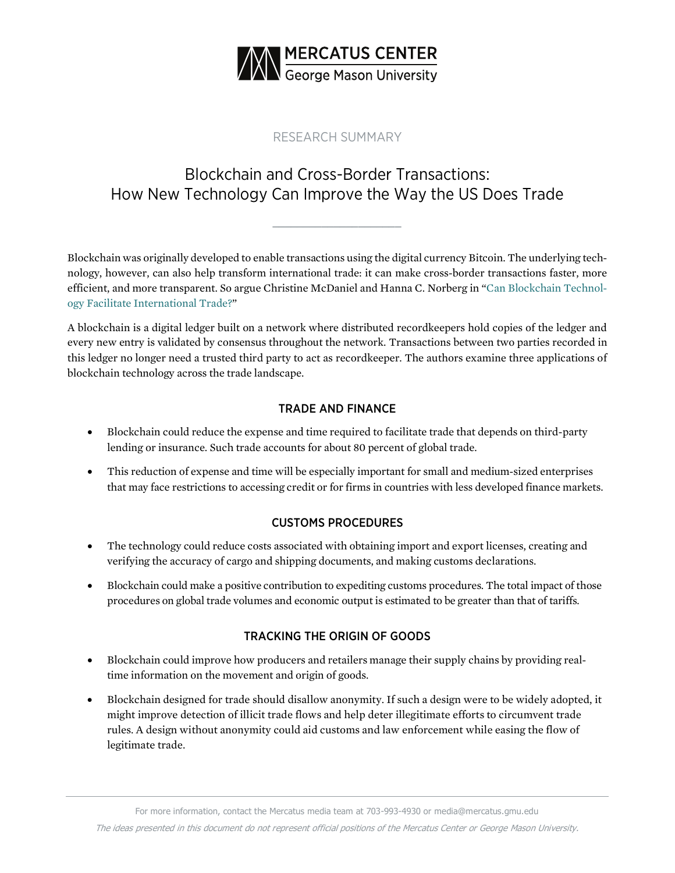

## RESEARCH SUMMARY

# Blockchain and Cross-Border Transactions: How New Technology Can Improve the Way the US Does Trade

**\_\_\_\_\_\_\_\_\_\_\_\_\_\_\_\_\_\_\_\_\_**

Blockchain was originally developed to enable transactions using the digital currency Bitcoin. The underlying technology, however, can also help transform international trade: it can make cross-border transactions faster, more efficient, and more transparent. So argue Christine McDaniel and Hanna C. Norberg in "[Can Blockchain Technol](https://www.mercatus.org/publications/trade-and-immigration/how-blockchain-technology-can-facilitate-international-trade)[ogy Facilitate International Trade?"](https://www.mercatus.org/publications/trade-and-immigration/how-blockchain-technology-can-facilitate-international-trade)

A blockchain is a digital ledger built on a network where distributed recordkeepers hold copies of the ledger and every new entry is validated by consensus throughout the network. Transactions between two parties recorded in this ledger no longer need a trusted third party to act as recordkeeper. The authors examine three applications of blockchain technology across the trade landscape.

### TRADE AND FINANCE

- Blockchain could reduce the expense and time required to facilitate trade that depends on third-party lending or insurance. Such trade accounts for about 80 percent of global trade.
- This reduction of expense and time will be especially important for small and medium-sized enterprises that may face restrictions to accessing credit or for firms in countries with less developed finance markets.

### CUSTOMS PROCEDURES

- The technology could reduce costs associated with obtaining import and export licenses, creating and verifying the accuracy of cargo and shipping documents, and making customs declarations.
- Blockchain could make a positive contribution to expediting customs procedures. The total impact of those procedures on global trade volumes and economic output is estimated to be greater than that of tariffs.

### TRACKING THE ORIGIN OF GOODS

- Blockchain could improve how producers and retailers manage their supply chains by providing realtime information on the movement and origin of goods.
- Blockchain designed for trade should disallow anonymity. If such a design were to be widely adopted, it might improve detection of illicit trade flows and help deter illegitimate efforts to circumvent trade rules. A design without anonymity could aid customs and law enforcement while easing the flow of legitimate trade.

The ideas presented in this document do not represent official positions of the Mercatus Center or George Mason University.